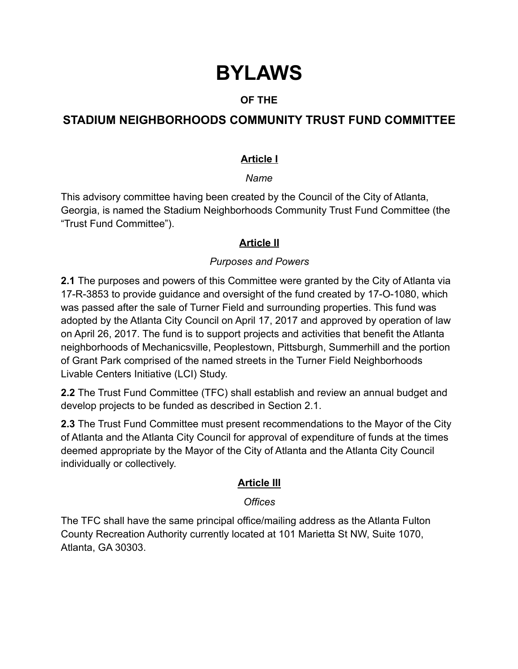# **BYLAWS**

# **OF THE**

# **STADIUM NEIGHBORHOODS COMMUNITY TRUST FUND COMMITTEE**

# **Article I**

#### *Name*

This advisory committee having been created by the Council of the City of Atlanta, Georgia, is named the Stadium Neighborhoods Community Trust Fund Committee (the "Trust Fund Committee").

# **Article II**

#### *Purposes and Powers*

**2.1** The purposes and powers of this Committee were granted by the City of Atlanta via 17-R-3853 to provide guidance and oversight of the fund created by 17-O-1080, which was passed after the sale of Turner Field and surrounding properties. This fund was adopted by the Atlanta City Council on April 17, 2017 and approved by operation of law on April 26, 2017. The fund is to support projects and activities that benefit the Atlanta neighborhoods of Mechanicsville, Peoplestown, Pittsburgh, Summerhill and the portion of Grant Park comprised of the named streets in the Turner Field Neighborhoods Livable Centers Initiative (LCI) Study.

**2.2** The Trust Fund Committee (TFC) shall establish and review an annual budget and develop projects to be funded as described in Section 2.1.

**2.3** The Trust Fund Committee must present recommendations to the Mayor of the City of Atlanta and the Atlanta City Council for approval of expenditure of funds at the times deemed appropriate by the Mayor of the City of Atlanta and the Atlanta City Council individually or collectively.

# **Article III**

#### *Offices*

The TFC shall have the same principal office/mailing address as the Atlanta Fulton County Recreation Authority currently located at 101 Marietta St NW, Suite 1070, Atlanta, GA 30303.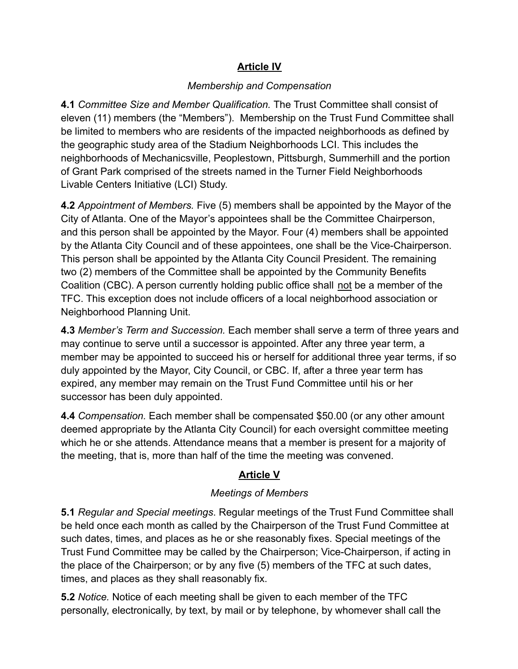# **Article IV**

#### *Membership and Compensation*

**4.1** *Committee Size and Member Qualification.* The Trust Committee shall consist of eleven (11) members (the "Members"). Membership on the Trust Fund Committee shall be limited to members who are residents of the impacted neighborhoods as defined by the geographic study area of the Stadium Neighborhoods LCI. This includes the neighborhoods of Mechanicsville, Peoplestown, Pittsburgh, Summerhill and the portion of Grant Park comprised of the streets named in the Turner Field Neighborhoods Livable Centers Initiative (LCI) Study.

**4.2** *Appointment of Members.* Five (5) members shall be appointed by the Mayor of the City of Atlanta. One of the Mayor's appointees shall be the Committee Chairperson, and this person shall be appointed by the Mayor. Four (4) members shall be appointed by the Atlanta City Council and of these appointees, one shall be the Vice-Chairperson. This person shall be appointed by the Atlanta City Council President. The remaining two (2) members of the Committee shall be appointed by the Community Benefits Coalition (CBC). A person currently holding public office shall not be a member of the TFC. This exception does not include officers of a local neighborhood association or Neighborhood Planning Unit.

**4.3** *Member's Term and Succession.* Each member shall serve a term of three years and may continue to serve until a successor is appointed. After any three year term, a member may be appointed to succeed his or herself for additional three year terms, if so duly appointed by the Mayor, City Council, or CBC. If, after a three year term has expired, any member may remain on the Trust Fund Committee until his or her successor has been duly appointed.

**4.4** *Compensation.* Each member shall be compensated \$50.00 (or any other amount deemed appropriate by the Atlanta City Council) for each oversight committee meeting which he or she attends. Attendance means that a member is present for a majority of the meeting, that is, more than half of the time the meeting was convened.

#### **Article V**

#### *Meetings of Members*

**5.1** *Regular and Special meetings*. Regular meetings of the Trust Fund Committee shall be held once each month as called by the Chairperson of the Trust Fund Committee at such dates, times, and places as he or she reasonably fixes. Special meetings of the Trust Fund Committee may be called by the Chairperson; Vice-Chairperson, if acting in the place of the Chairperson; or by any five (5) members of the TFC at such dates, times, and places as they shall reasonably fix.

**5.2** *Notice.* Notice of each meeting shall be given to each member of the TFC personally, electronically, by text, by mail or by telephone, by whomever shall call the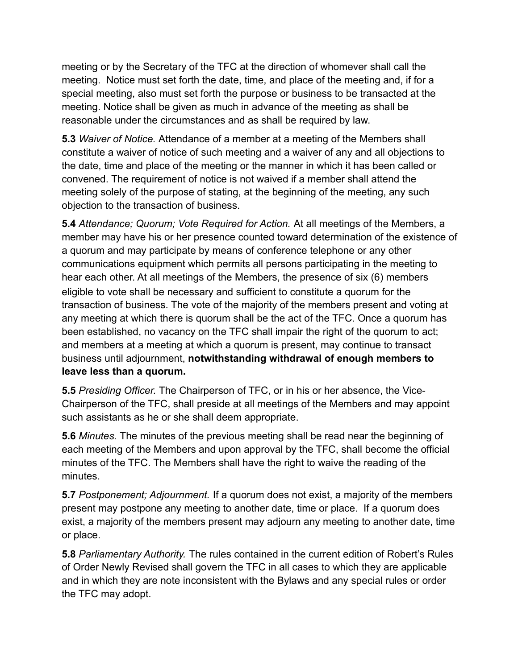meeting or by the Secretary of the TFC at the direction of whomever shall call the meeting. Notice must set forth the date, time, and place of the meeting and, if for a special meeting, also must set forth the purpose or business to be transacted at the meeting. Notice shall be given as much in advance of the meeting as shall be reasonable under the circumstances and as shall be required by law.

**5.3** *Waiver of Notice.* Attendance of a member at a meeting of the Members shall constitute a waiver of notice of such meeting and a waiver of any and all objections to the date, time and place of the meeting or the manner in which it has been called or convened. The requirement of notice is not waived if a member shall attend the meeting solely of the purpose of stating, at the beginning of the meeting, any such objection to the transaction of business.

**5.4** *Attendance; Quorum; Vote Required for Action.* At all meetings of the Members, a member may have his or her presence counted toward determination of the existence of a quorum and may participate by means of conference telephone or any other communications equipment which permits all persons participating in the meeting to hear each other. At all meetings of the Members, the presence of six (6) members eligible to vote shall be necessary and sufficient to constitute a quorum for the transaction of business. The vote of the majority of the members present and voting at any meeting at which there is quorum shall be the act of the TFC. Once a quorum has been established, no vacancy on the TFC shall impair the right of the quorum to act; and members at a meeting at which a quorum is present, may continue to transact business until adjournment, **notwithstanding withdrawal of enough members to leave less than a quorum.**

**5.5** *Presiding Officer.* The Chairperson of TFC, or in his or her absence, the Vice-Chairperson of the TFC, shall preside at all meetings of the Members and may appoint such assistants as he or she shall deem appropriate.

**5.6** *Minutes.* The minutes of the previous meeting shall be read near the beginning of each meeting of the Members and upon approval by the TFC, shall become the official minutes of the TFC. The Members shall have the right to waive the reading of the minutes.

**5.7** *Postponement; Adjournment.* If a quorum does not exist, a majority of the members present may postpone any meeting to another date, time or place. If a quorum does exist, a majority of the members present may adjourn any meeting to another date, time or place.

**5.8** *Parliamentary Authority.* The rules contained in the current edition of Robert's Rules of Order Newly Revised shall govern the TFC in all cases to which they are applicable and in which they are note inconsistent with the Bylaws and any special rules or order the TFC may adopt.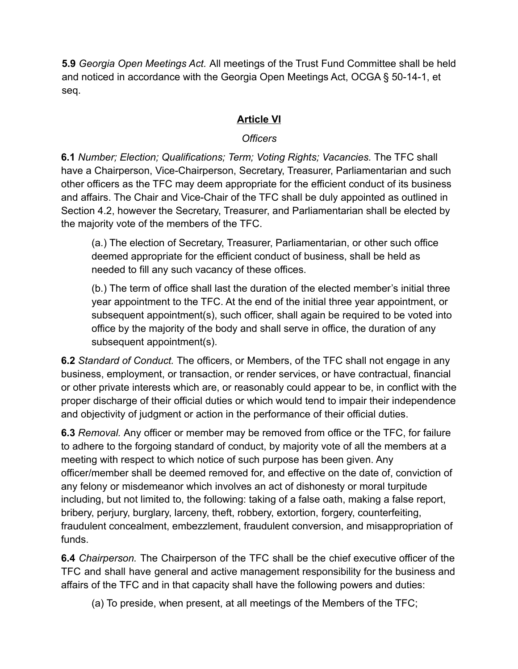**5.9** *Georgia Open Meetings Act.* All meetings of the Trust Fund Committee shall be held and noticed in accordance with the Georgia Open Meetings Act, OCGA § 50-14-1, et seq.

# **Article VI**

# *Officers*

**6.1** *Number; Election; Qualifications; Term; Voting Rights; Vacancies.* The TFC shall have a Chairperson, Vice-Chairperson, Secretary, Treasurer, Parliamentarian and such other officers as the TFC may deem appropriate for the efficient conduct of its business and affairs. The Chair and Vice-Chair of the TFC shall be duly appointed as outlined in Section 4.2, however the Secretary, Treasurer, and Parliamentarian shall be elected by the majority vote of the members of the TFC.

(a.) The election of Secretary, Treasurer, Parliamentarian, or other such office deemed appropriate for the efficient conduct of business, shall be held as needed to fill any such vacancy of these offices.

(b.) The term of office shall last the duration of the elected member's initial three year appointment to the TFC. At the end of the initial three year appointment, or subsequent appointment(s), such officer, shall again be required to be voted into office by the majority of the body and shall serve in office, the duration of any subsequent appointment(s).

**6.2** *Standard of Conduct.* The officers, or Members, of the TFC shall not engage in any business, employment, or transaction, or render services, or have contractual, financial or other private interests which are, or reasonably could appear to be, in conflict with the proper discharge of their official duties or which would tend to impair their independence and objectivity of judgment or action in the performance of their official duties.

**6.3** *Removal.* Any officer or member may be removed from office or the TFC, for failure to adhere to the forgoing standard of conduct, by majority vote of all the members at a meeting with respect to which notice of such purpose has been given. Any officer/member shall be deemed removed for, and effective on the date of, conviction of any felony or misdemeanor which involves an act of dishonesty or moral turpitude including, but not limited to, the following: taking of a false oath, making a false report, bribery, perjury, burglary, larceny, theft, robbery, extortion, forgery, counterfeiting, fraudulent concealment, embezzlement, fraudulent conversion, and misappropriation of funds.

**6.4** *Chairperson.* The Chairperson of the TFC shall be the chief executive officer of the TFC and shall have general and active management responsibility for the business and affairs of the TFC and in that capacity shall have the following powers and duties:

(a) To preside, when present, at all meetings of the Members of the TFC;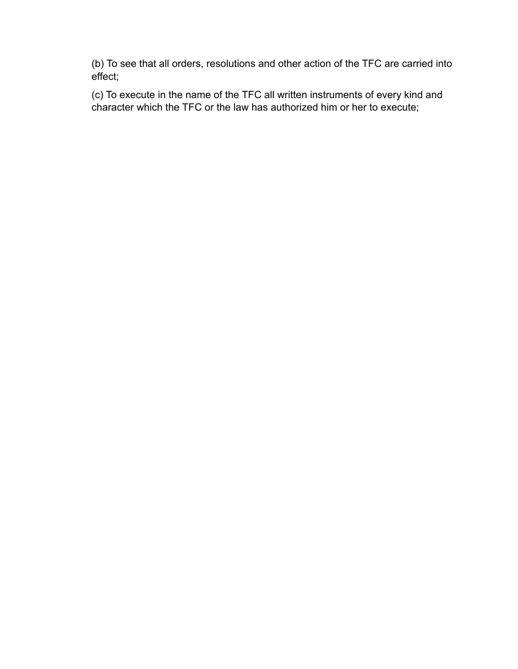(b) To see that all orders, resolutions and other action of the TFC are carried into effect;

(c) To execute in the name of the TFC all written instruments of every kind and character which the TFC or the law has authorized him or her to execute;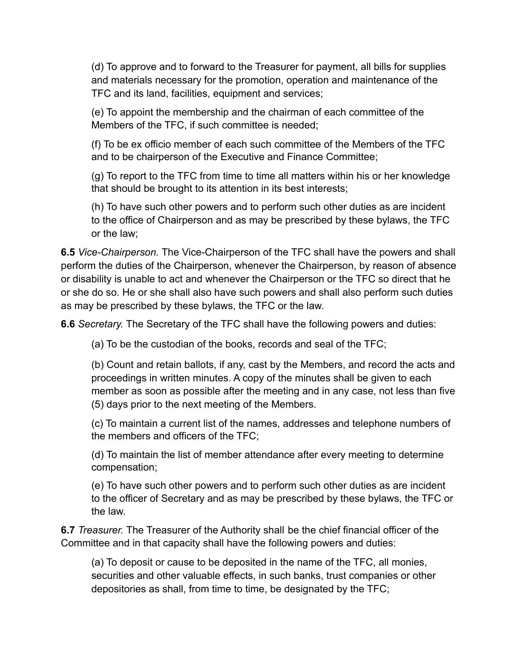(d) To approve and to forward to the Treasurer for payment, all bills for supplies and materials necessary for the promotion, operation and maintenance of the TFC and its land, facilities, equipment and services;

(e) To appoint the membership and the chairman of each committee of the Members of the TFC, if such committee is needed;

(f) To be ex officio member of each such committee of the Members of the TFC and to be chairperson of the Executive and Finance Committee;

(g) To report to the TFC from time to time all matters within his or her knowledge that should be brought to its attention in its best interests;

(h) To have such other powers and to perform such other duties as are incident to the office of Chairperson and as may be prescribed by these bylaws, the TFC or the law;

**6.5** *Vice-Chairperson.* The Vice-Chairperson of the TFC shall have the powers and shall perform the duties of the Chairperson, whenever the Chairperson, by reason of absence or disability is unable to act and whenever the Chairperson or the TFC so direct that he or she do so. He or she shall also have such powers and shall also perform such duties as may be prescribed by these bylaws, the TFC or the law.

**6.6** *Secretary.* The Secretary of the TFC shall have the following powers and duties:

(a) To be the custodian of the books, records and seal of the TFC;

(b) Count and retain ballots, if any, cast by the Members, and record the acts and proceedings in written minutes. A copy of the minutes shall be given to each member as soon as possible after the meeting and in any case, not less than five (5) days prior to the next meeting of the Members.

(c) To maintain a current list of the names, addresses and telephone numbers of the members and officers of the TFC;

(d) To maintain the list of member attendance after every meeting to determine compensation;

(e) To have such other powers and to perform such other duties as are incident to the officer of Secretary and as may be prescribed by these bylaws, the TFC or the law.

**6.7** *Treasurer.* The Treasurer of the Authority shall be the chief financial officer of the Committee and in that capacity shall have the following powers and duties:

(a) To deposit or cause to be deposited in the name of the TFC, all monies, securities and other valuable effects, in such banks, trust companies or other depositories as shall, from time to time, be designated by the TFC;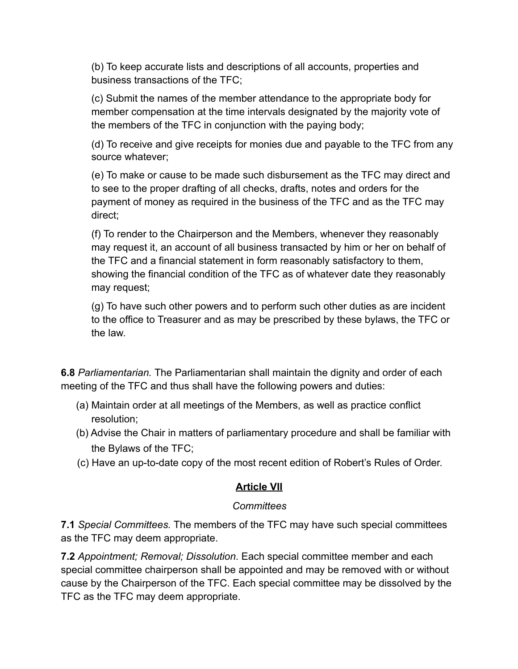(b) To keep accurate lists and descriptions of all accounts, properties and business transactions of the TFC;

(c) Submit the names of the member attendance to the appropriate body for member compensation at the time intervals designated by the majority vote of the members of the TFC in conjunction with the paying body;

(d) To receive and give receipts for monies due and payable to the TFC from any source whatever;

(e) To make or cause to be made such disbursement as the TFC may direct and to see to the proper drafting of all checks, drafts, notes and orders for the payment of money as required in the business of the TFC and as the TFC may direct;

(f) To render to the Chairperson and the Members, whenever they reasonably may request it, an account of all business transacted by him or her on behalf of the TFC and a financial statement in form reasonably satisfactory to them, showing the financial condition of the TFC as of whatever date they reasonably may request;

(g) To have such other powers and to perform such other duties as are incident to the office to Treasurer and as may be prescribed by these bylaws, the TFC or the law.

**6.8** *Parliamentarian.* The Parliamentarian shall maintain the dignity and order of each meeting of the TFC and thus shall have the following powers and duties:

- (a) Maintain order at all meetings of the Members, as well as practice conflict resolution;
- (b) Advise the Chair in matters of parliamentary procedure and shall be familiar with the Bylaws of the TFC;
- (c) Have an up-to-date copy of the most recent edition of Robert's Rules of Order.

#### **Article VII**

#### *Committees*

**7.1** *Special Committees.* The members of the TFC may have such special committees as the TFC may deem appropriate.

**7.2** *Appointment; Removal; Dissolution*. Each special committee member and each special committee chairperson shall be appointed and may be removed with or without cause by the Chairperson of the TFC. Each special committee may be dissolved by the TFC as the TFC may deem appropriate.